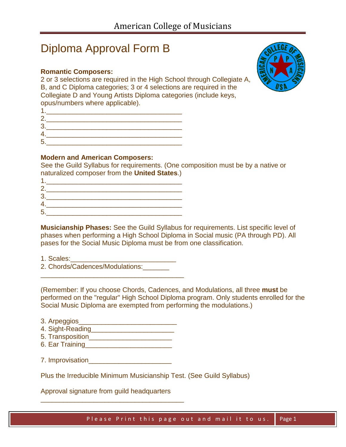# Diploma Approval Form B

# **Romantic Composers:**

2 or 3 selections are required in the High School through Collegiate A, B, and C Diploma categories; 3 or 4 selections are required in the Collegiate D and Young Artists Diploma categories (include keys, opus/numbers where applicable).



|    | ____ |  |
|----|------|--|
| 2. |      |  |
| 3  |      |  |
|    |      |  |
| 5  |      |  |

## **Modern and American Composers:**

See the Guild Syllabus for requirements. (One composition must be by a native or naturalized composer from the **United States**.)

| 2       |  |  |  |
|---------|--|--|--|
| c<br>×. |  |  |  |
|         |  |  |  |
| F       |  |  |  |

**Musicianship Phases:** See the Guild Syllabus for requirements. List specific level of phases when performing a High School Diploma in Social music (PA through PD). All pases for the Social Music Diploma must be from one classification.

1. Scales:\_\_\_\_\_\_\_\_\_\_\_\_\_\_\_\_\_\_\_\_\_\_\_\_\_\_\_\_ 2. Chords/Cadences/Modulations:\_\_\_\_\_\_\_

\_\_\_\_\_\_\_\_\_\_\_\_\_\_\_\_\_\_\_\_\_\_\_\_\_\_\_\_\_\_\_\_\_\_\_\_\_\_

(Remember: If you choose Chords, Cadences, and Modulations, all three **must** be performed on the "regular" High School Diploma program. Only students enrolled for the Social Music Diploma are exempted from performing the modulations.)

| 3. Arpeggios     |  |  |
|------------------|--|--|
| 4. Sight-Reading |  |  |

- 5. Transposition\_\_\_\_\_\_\_\_\_\_\_\_\_\_\_\_\_\_\_\_\_\_
- 6. Ear Training\_\_\_\_\_\_\_\_\_\_\_\_\_\_\_\_\_\_\_\_\_\_\_
- 7. Improvisation

Plus the Irreducible Minimum Musicianship Test. (See Guild Syllabus)

Approval signature from guild headquarters

\_\_\_\_\_\_\_\_\_\_\_\_\_\_\_\_\_\_\_\_\_\_\_\_\_\_\_\_\_\_\_\_\_\_\_\_\_\_